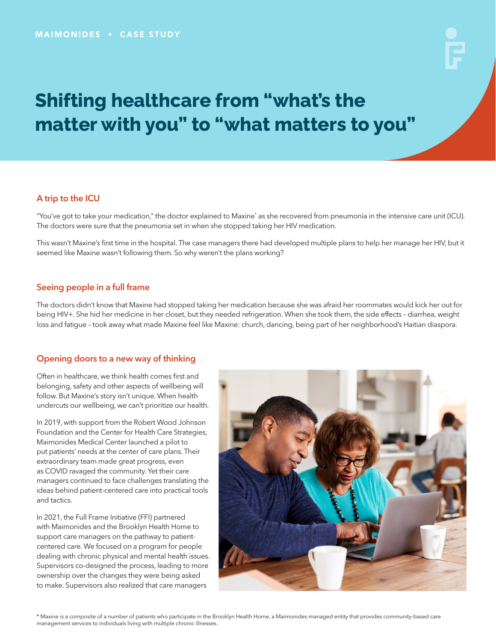# **Shifting healthcare from "what's the matter with you" to "what matters to you"**

# A trip to the ICU

"You've got to take your medication," the doctor explained to Maxine\* as she recovered from pneumonia in the intensive care unit (ICU). The doctors were sure that the pneumonia set in when she stopped taking her HIV medication.

This wasn't Maxine's first time in the hospital. The case managers there had developed multiple plans to help her manage her HIV, but it seemed like Maxine wasn't following them. So why weren't the plans working?

### Seeing people in a full frame

The doctors didn't know that Maxine had stopped taking her medication because she was afraid her roommates would kick her out for being HIV+. She hid her medicine in her closet, but they needed refrigeration. When she took them, the side effects – diarrhea, weight loss and fatigue – took away what made Maxine feel like Maxine: church, dancing, being part of her neighborhood's Haitian diaspora.

## Opening doors to a new way of thinking

Often in healthcare, we think health comes first and belonging, safety and other aspects of wellbeing will follow. But Maxine's story isn't unique. When health undercuts our wellbeing, we can't prioritize our health.

In 2019, with support from the Robert Wood Johnson Foundation and the Center for Health Care Strategies, Maimonides Medical Center launched a pilot to put patients' needs at the center of care plans. Their extraordinary team made great progress, even as COVID ravaged the community. Yet their care managers continued to face challenges translating the ideas behind patient-centered care into practical tools and tactics.

In 2021, the Full Frame Initiative (FFI) partnered with Maimonides and the Brooklyn Health Home to support care managers on the pathway to patientcentered care. We focused on a program for people dealing with chronic physical and mental health issues. Supervisors co-designed the process, leading to more ownership over the changes they were being asked to make. Supervisors also realized that care managers